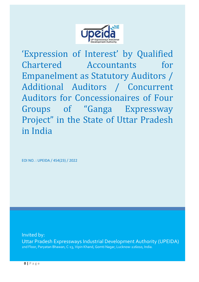

'Expression of Interest' by Qualified Chartered Accountants for Empanelment as Statutory Auditors / Additional Auditors / Concurrent Auditors for Concessionaires of Four Groups of "Ganga Expressway Project" in the State of Uttar Pradesh in India

EOI NO. : UPEIDA / 454(23) / 2022

Invited by: Uttar Pradesh Expressways Industrial Development Authority (UPEIDA) 2nd Floor, Paryatan Bhawan, C-13, Vipin Khand, Gomti Nagar, Lucknow-226010, India.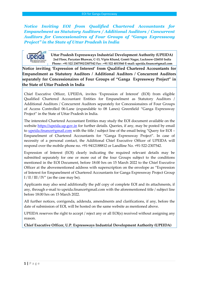*Notice Inviting EOI from Qualified Chartered Accountants for Empanelment as Statutory Auditors / Additional Auditors / Concurrent Auditors for Concessionaires of Four Groups of "Ganga Expressway Project" in the State of Uttar Pradesh in India*

> **Uttar Pradesh Expressways Industrial Development Authority (UPEIDA) 2nd Floor, Paryatan Bhawan, C-13, Vipin Khand, Gomti Nagar, Lucknow-226010 India Phone : +91 522 2307592/2307542 Fax : +91 522 4013560 E-mail: upeida.finance@gmail.com**

**Notice inviting 'Expression of Interest' from Qualified Chartered Accountants for Empanelment as Statutory Auditors / Additional Auditors / Concurrent Auditors separately for Concessionaires of Four Groups of "Ganga Expressway Project" in the State of Uttar Pradesh in India**

Chief Executive Officer, UPEIDA, invites 'Expression of Interest' (EOI) from eligible Qualified Chartered Accountant Entities for Empanelment as Statutory Auditors / Additional Auditors / Concurrent Auditors separately for Concessionaires of Four Groups of Access Controlled 06-Lane (expandable to 08 Lanes) Greenfield "Ganga Expressway Project" in the State of Uttar Pradesh in India.

The interested Chartered Accountant Entities may study the EOI document available on the website [https://upeida.up.gov.in](https://upeida.up.gov.in/) for further details. Queries, if any, may be posted by email to [upeida.finance@gmail.com](mailto:upeida.finance@gmail.com) with the title / subject line of the email being "Query for EOI – Empanelment of Chartered Accountants for "Ganga Expressway Project". In case of necessity of a personal contact, the Additional Chief Executive Officer of UPEIDA will respond over the mobile phone no. +91-9412188812 or Landline No. +91-522-2307542.

Expression of Interest (EOI) clearly indicating the required relevant details may be submitted separately for one or more out of the four Groups subject to the conditions mentioned in the EOI Document, before 18:00 hrs on 15 March 2022 to the Chief Executive Officer at the abovementioned address with superscription on the envelope as "Expression of Interest for Empanelment of Chartered Accountants for Ganga Expressway Project Group  $I / II / III / IV''$  (as the case may be).

Applicants may also send additionally the pdf copy of complete EOI and its attachments, if any, through e-mail to upeida.finance@gmail.com with the aforementioned title / subject line before 18:00 hrs on 15 March 2022.

All further notices, corrigenda, addenda, amendments and clarifications, if any, before the date of submission of EOI, will be hosted on the same website as mentioned above.

UPEIDA reserves the right to accept / reject any or all EOI(s) received without assigning any reason.

**Chief Executive Officer, U.P. Expressways Industrial Development Authority (UPEIDA)**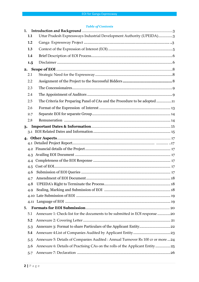#### *Table of Contents*

| 1.1<br>1.2<br>1.3<br>1.4<br>1.5<br>2.<br>2.1<br>2.2<br>2.3<br>2.4<br>The Criteria for Preparing Panel of CAs and the Procedure to be adopted11<br>2.5<br>2.6<br>2.7<br>2.8<br>3.<br>4.3<br>4.4<br>4.5<br>4.6<br>4.8<br>4.9<br>5.<br>5.1<br>5.2<br>5.3<br>5.4<br>Annexure 5: Details of Companies Audited : Annual Turnover Rs 100 cr or more 24<br>5.5<br>Annexure 6: Details of Practising CAs on the rolls of the Applicant Entity25<br>5.6 | 1.  |                                                                      |
|-----------------------------------------------------------------------------------------------------------------------------------------------------------------------------------------------------------------------------------------------------------------------------------------------------------------------------------------------------------------------------------------------------------------------------------------------|-----|----------------------------------------------------------------------|
| Annexure 1: Check-list for the documents to be submitted in EOI response 20                                                                                                                                                                                                                                                                                                                                                                   |     | Uttar Pradesh Expressways Industrial Development Authority (UPEIDA)3 |
|                                                                                                                                                                                                                                                                                                                                                                                                                                               |     |                                                                      |
|                                                                                                                                                                                                                                                                                                                                                                                                                                               |     |                                                                      |
|                                                                                                                                                                                                                                                                                                                                                                                                                                               |     |                                                                      |
|                                                                                                                                                                                                                                                                                                                                                                                                                                               |     |                                                                      |
|                                                                                                                                                                                                                                                                                                                                                                                                                                               |     |                                                                      |
|                                                                                                                                                                                                                                                                                                                                                                                                                                               |     |                                                                      |
|                                                                                                                                                                                                                                                                                                                                                                                                                                               |     |                                                                      |
|                                                                                                                                                                                                                                                                                                                                                                                                                                               |     |                                                                      |
|                                                                                                                                                                                                                                                                                                                                                                                                                                               |     |                                                                      |
|                                                                                                                                                                                                                                                                                                                                                                                                                                               |     |                                                                      |
|                                                                                                                                                                                                                                                                                                                                                                                                                                               |     |                                                                      |
|                                                                                                                                                                                                                                                                                                                                                                                                                                               |     |                                                                      |
|                                                                                                                                                                                                                                                                                                                                                                                                                                               |     |                                                                      |
|                                                                                                                                                                                                                                                                                                                                                                                                                                               |     |                                                                      |
|                                                                                                                                                                                                                                                                                                                                                                                                                                               |     |                                                                      |
|                                                                                                                                                                                                                                                                                                                                                                                                                                               |     |                                                                      |
|                                                                                                                                                                                                                                                                                                                                                                                                                                               |     |                                                                      |
|                                                                                                                                                                                                                                                                                                                                                                                                                                               |     |                                                                      |
|                                                                                                                                                                                                                                                                                                                                                                                                                                               |     |                                                                      |
|                                                                                                                                                                                                                                                                                                                                                                                                                                               |     |                                                                      |
|                                                                                                                                                                                                                                                                                                                                                                                                                                               |     |                                                                      |
|                                                                                                                                                                                                                                                                                                                                                                                                                                               |     |                                                                      |
|                                                                                                                                                                                                                                                                                                                                                                                                                                               |     |                                                                      |
|                                                                                                                                                                                                                                                                                                                                                                                                                                               |     |                                                                      |
|                                                                                                                                                                                                                                                                                                                                                                                                                                               |     |                                                                      |
|                                                                                                                                                                                                                                                                                                                                                                                                                                               |     |                                                                      |
|                                                                                                                                                                                                                                                                                                                                                                                                                                               |     |                                                                      |
|                                                                                                                                                                                                                                                                                                                                                                                                                                               |     |                                                                      |
|                                                                                                                                                                                                                                                                                                                                                                                                                                               |     |                                                                      |
|                                                                                                                                                                                                                                                                                                                                                                                                                                               |     |                                                                      |
|                                                                                                                                                                                                                                                                                                                                                                                                                                               |     |                                                                      |
|                                                                                                                                                                                                                                                                                                                                                                                                                                               |     |                                                                      |
|                                                                                                                                                                                                                                                                                                                                                                                                                                               |     |                                                                      |
|                                                                                                                                                                                                                                                                                                                                                                                                                                               | 5.7 |                                                                      |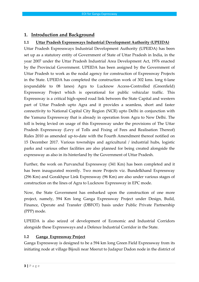# <span id="page-3-0"></span>**1. Introduction and Background**

### <span id="page-3-1"></span>**1.1 Uttar Pradesh Expressways Industrial Development Authority (UPEIDA)**

Uttar Pradesh Expressways Industrial Development Authority (UPEIDA) has been set up as a statutory entity of Government of State of Uttar Pradesh in India, in the year 2007 under the Uttar Pradesh Industrial Area Development Act, 1976 enacted by the Provincial Government. UPEIDA has been assigned by the Government of Uttar Pradesh to work as the nodal agency for construction of Expressway Projects in the State. UPEIDA has completed the construction work of 302 kms. long 6-lane (expandable to 08 lanes) Agra to Lucknow Access-Controlled (Greenfield) Expressway Project which is operational for public vehicular traffic. This Expressway is a critical high-speed road link between the State Capital and western part of Uttar Pradesh upto Agra and it provides a seamless, short and faster connectivity to National Capital City Region (NCR) upto Delhi in conjunction with the Yamuna Expressway that is already in operation from Agra to New Delhi. The toll is being levied on usage of this Expressway under the provisions of The Uttar Pradesh Expressway (Levy of Tolls and Fixing of Fees and Realisation Thereof) Rules 2010 as amended up-to-date with the Fourth Amendment thereof notified on 15 December 2017. Various townships and agricultural / industrial hubs, logistic parks and various other facilities are also planned for being created alongside the expressway as also in its hinterland by the Government of Uttar Pradesh.

Further, the work on Purvanchal Expressway (341 Km) has been completed and it has been inaugurated recently. Two more Projects viz. Bundelkhand Expressway (296 Km) and Gorakhpur Link Expressway (96 Km) are also under various stages of construction on the lines of Agra to Lucknow Expressway in EPC mode.

Now, the State Government has embarked upon the construction of one more project, namely, 594 Km long Ganga Expressway Project under Design, Build, Finance, Operate and Transfer (DBFOT) basis under Public Private Partnership (PPP) mode.

UPEIDA is also seized of development of Economic and Industrial Corridors alongside these Expressways and a Defence Industrial Corridor in the State.

#### <span id="page-3-2"></span>**1.2 Ganga Expressway Project**

Ganga Expressway is designed to be a 594 km long Green Field Expressway from its initiating node at village Bijouli near Meerut to Judapur Dadon node in the district of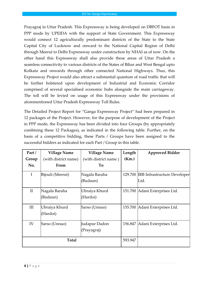Prayagraj in Uttar Pradesh. This Expressway is being developed on DBFOT basis in PPP mode by UPEIDA with the support of State Government. This Expressway would connect 12 agriculturally predominant districts of the State to the State Capital City of Lucknow and onward to the National Capital Region of Delhi through Meerut to Delhi Expressway under construction by NHAI as of now. On the other hand this Expressway shall also provide these areas of Uttar Pradesh a seamless connectivity to various districts of the States of Bihar and West Bengal upto Kolkata and onwards through other connected National Highways. Thus, this Expressway Project would also attract a substantial quantum of road traffic that will be further bolstered upon development of Industrial and Economic Corridor comprised of several specialised economic hubs alongside the main carriageway. The toll will be levied on usage of this Expressway under the provisions of aforementioned Uttar Pradesh Expressway Toll Rules.

The Detailed Project Report for "Ganga Expressway Project" had been prepared in 12 packages of the Project. However, for the purpose of development of the Project in PPP mode, the Expressway has been divided into four Groups (by appropriately combining these 12 Packages), as indicated in the following table. Further, on the basis of a competitive bidding, these Parts / Groups have been assigned to the successful bidders as indicated for each Part / Group in this table.

| Part/        | <b>Village Name</b>       | <b>Village Name</b>          | Length  | <b>Approved Bidder</b>                       |
|--------------|---------------------------|------------------------------|---------|----------------------------------------------|
| Group        | (with district name)      | (with district name)         | (Km.)   |                                              |
| No.          | From                      | To                           |         |                                              |
| $\mathbf I$  | Bijouli (Meerut)          | Nagala Baraha<br>(Budaun)    |         | 129.700 IRB Infrastructure Developer<br>Ltd. |
| $\mathbf{I}$ | Nagala Baraha<br>(Budaun) | Ubraiya Khurd<br>(Hardoi)    |         | 151.700 Adani Exterprises Ltd.               |
| III          | Ubraiya Khurd<br>(Hardoi) | Sarso (Unnao)                |         | 155.700 Adani Exterprises Ltd.               |
| IV           | Sarso (Unnao)             | Judapur Dadon<br>(Prayagraj) | 156.847 | Adani Exterprises Ltd.                       |
| <b>Total</b> |                           |                              | 593.947 |                                              |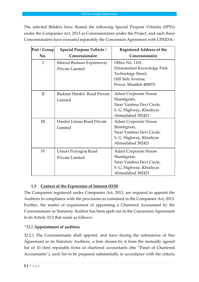The selected Bidders have floated the following Special Purpose Vehicles (SPVs) under the Companies Act, 2013 as Concessionaires under the Project, and each these Concessionaires have executed separately the Concession Agreement with UPEIDA:-

| Part / Group | Special Purpose Vehicle /                   | <b>Registered Address of the</b>                                                                                  |
|--------------|---------------------------------------------|-------------------------------------------------------------------------------------------------------------------|
| No.          | Concessionaire                              | Concessionaire                                                                                                    |
| Ι            | Meerut Budaun Expressway<br>Private Limited | Office No. 1101,<br>Hiranandani Knowledge Park<br>Technology Street,<br>Hill Side Avenue,<br>Powai, Mumbai 400076 |
| $\mathbf{I}$ | Budaun Hardoi Road Private<br>Limited       | Adani Corporate House<br>Shantigram,<br>Near Vaishno Devi Circle,<br>S. G. Highway, Khodiyar<br>Ahmedabad 382421  |
| III          | Hardoi Unnao Road Private<br>Limited        | Adani Corporate House<br>Shantigram,<br>Near Vaishno Devi Circle,<br>S. G. Highway, Khodiyar<br>Ahmedabad 382421  |
| IV           | Unnao Prayagraj Road<br>Private Limited     | Adani Corporate House<br>Shantigram,<br>Near Vaishno Devi Circle,<br>S. G. Highway, Khodiyar<br>Ahmedabad 382421  |

# **1.3 Context of the Expression of Interest (EOI)**

<span id="page-5-0"></span>The Companies registered under Companies Act, 2013, are required to appoint the Auditors in compliance with the provisions as contained in the Companies Act, 2013. Further, the matter of requirement of appointing a Chartered Accountant by the Concessionaire as Statutory Auditor has been spelt out in the Concession Agreement in its Article 33.2 that reads as follows:-

# "33.2 **Appointment of auditors**

33.2.1 The Concessionaire shall appoint, and have during the subsistence of this Agreement as its Statutory Auditors, a firm chosen by it from the mutually agreed list of 10 (ten) reputable firms of chartered accountants (the "Panel of Chartered Accountants"), such list to be prepared substantially in accordance with the criteria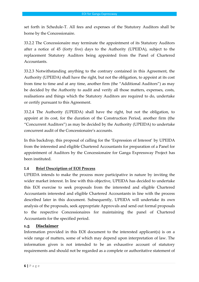set forth in Schedule-T. All fees and expenses of the Statutory Auditors shall be borne by the Concessionaire.

33.2.2 The Concessionaire may terminate the appointment of its Statutory Auditors after a notice of 45 (forty five) days to the Authority (UPEIDA), subject to the replacement Statutory Auditors being appointed from the Panel of Chartered Accountants.

33.2.3 Notwithstanding anything to the contrary contained in this Agreement, the Authority (UPEIDA) shall have the right, but not the obligation, to appoint at its cost from time to time and at any time, another firm (the "Additional Auditors") as may be decided by the Authority to audit and verify all those matters, expenses, costs, realisations and things which the Statutory Auditors are required to do, undertake or certify pursuant to this Agreement.

33.2.4 The Authority (UPEIDA) shall have the right, but not the obligation, to appoint at its cost, for the duration of the Construction Period, another firm (the "Concurrent Auditors") as may be decided by the Authority (UPEIDA) to undertake concurrent audit of the Concessionaire's accounts.

In this backdrop, this proposal of calling for the 'Expression of Interest' by UPEIDA from the interested and eligible Chartered Accountants for preparation of a Panel for appointment of Auditors by the Concessionaire for Ganga Expressway Project has been instituted.

#### <span id="page-6-0"></span>**1.4 Brief Description of EOI Process**

UPEIDA intends to make the process more participative in nature by inviting the wider market interest. In line with this objective, UPEIDA has decided to undertake this EOI exercise to seek proposals from the interested and eligible Chartered Accountants interested and eligible Chartered Accountants in line with the process described later in this document. Subsequently, UPEIDA will undertake its own analysis of the proposals, seek appropriate Approvals and send out formal proposals to the respective Concessionaires for maintaining the panel of Chartered Accountants for the specified period.

#### <span id="page-6-1"></span>**1.5 Disclaimer**

Information provided in this EOI document to the interested applicant(s) is on a wide range of matters, some of which may depend upon interpretation of law. The information given is not intended to be an exhaustive account of statutory requirements and should not be regarded as a complete or authoritative statement of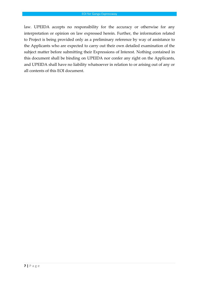law. UPEIDA accepts no responsibility for the accuracy or otherwise for any interpretation or opinion on law expressed herein. Further, the information related to Project is being provided only as a preliminary reference by way of assistance to the Applicants who are expected to carry out their own detailed examination of the subject matter before submitting their Expressions of Interest. Nothing contained in this document shall be binding on UPEIDA nor confer any right on the Applicants, and UPEIDA shall have no liability whatsoever in relation to or arising out of any or all contents of this EOI document.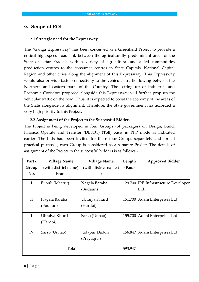### **2. Scope of EOI**

#### <span id="page-8-0"></span>**2.1 Strategic need for the Expressway**

The "Ganga Expressway" has been conceived as a Greenfield Project to provide a critical high-speed road link between the agriculturally predominant areas of the State of Uttar Pradesh with a variety of agricultural and allied commodities production centres to the consumer centres in State Capitals, National Capital Region and other cities along the alignment of this Expressway. This Expressway would also provide faster connectivity to the vehicular traffic flowing between the Northern and eastern parts of the Country. The setting up of Industrial and Economic Corridors proposed alongside this Expressway will further prop up the vehicular traffic on the road. Thus, it is expected to boost the economy of the areas of the State alongside its alignment. Therefore, the State government has accorded a very high priority to this Project.

#### **2.2 Assignment of the Project to the Successful Bidders**

The Project is being developed in four Groups (of packages) on Design, Build, Finance, Operate and Transfer (DBFOT) (Toll) basis in PPP mode as indicated earlier. The bids had been invited for these four Groups separately and for all practical purposes, each Group is considered as a separate Project. The details of assignment of the Project to the successful bidders is as follows:-

| Part/        | <b>Village Name</b>       | <b>Village Name</b>          | Length  | <b>Approved Bidder</b>                       |
|--------------|---------------------------|------------------------------|---------|----------------------------------------------|
| Group        | (with district name)      | (with district name)         | (Km.)   |                                              |
| No.          | From                      | To                           |         |                                              |
| $\bf{I}$     | Bijouli (Meerut)          | Nagala Baraha<br>(Budaun)    |         | 129.700 IRB Infrastructure Developer<br>Ltd. |
| $\mathbf{I}$ | Nagala Baraha<br>(Budaun) | Ubraiya Khurd<br>(Hardoi)    | 151.700 | Adani Enterprises Ltd.                       |
| Ш            | Ubraiya Khurd<br>(Hardoi) | Sarso (Unnao)                | 155.700 | Adani Enterprises Ltd.                       |
| IV           | Sarso (Unnao)             | Judapur Dadon<br>(Prayagraj) | 156.847 | Adani Enterprises Ltd.                       |
| Total        |                           |                              | 593.947 |                                              |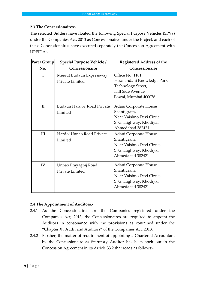#### **2.3 The Concessionaires:-**

The selected Bidders have floated the following Special Purpose Vehicles (SPVs) under the Companies Act, 2013 as Concessionaires under the Project, and each of these Concessionaires have executed separately the Concession Agreement with UPEIDA:-

| Part / Group | Special Purpose Vehicle /                          | <b>Registered Address of the</b>                                                                                  |
|--------------|----------------------------------------------------|-------------------------------------------------------------------------------------------------------------------|
| No.          | Concessionaire                                     | Concessionaire                                                                                                    |
| T            | Meerut Budaun Expressway<br><b>Private Limited</b> | Office No. 1101,<br>Hiranandani Knowledge Park<br>Technology Street,<br>Hill Side Avenue,<br>Powai, Mumbai 400076 |
| $\mathbf{I}$ | Budaun Hardoi Road Private<br>Limited              | Adani Corporate House<br>Shantigram,<br>Near Vaishno Devi Circle,<br>S. G. Highway, Khodiyar<br>Ahmedabad 382421  |
| III          | Hardoi Unnao Road Private<br>Limited               | Adani Corporate House<br>Shantigram,<br>Near Vaishno Devi Circle,<br>S. G. Highway, Khodiyar<br>Ahmedabad 382421  |
| IV           | Unnao Prayagraj Road<br>Private Limited            | Adani Corporate House<br>Shantigram,<br>Near Vaishno Devi Circle,<br>S. G. Highway, Khodiyar<br>Ahmedabad 382421  |

#### **2.4 The Appointment of Auditors:-**

- 2.4.1 As the Concessionaires are the Companies registered under the Companies Act, 2013, the Concessionaires are required to appoint the Auditors in consonance with the provisions as contained under the "Chapter X : Audit and Auditors" of the Companies Act, 2013.
- 2.4.2 Further, the matter of requirement of appointing a Chartered Accountant by the Concessionaire as Statutory Auditor has been spelt out in the Concession Agreement in its Article 33.2 that reads as follows:-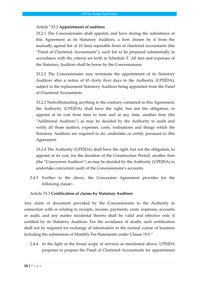#### Article "33.2 **Appointment of auditors**

33.2.1 The Concessionaire shall appoint, and have during the subsistence of this Agreement as its Statutory Auditors, a firm chosen by it from the mutually agreed list of 10 (ten) reputable firms of chartered accountants (the "Panel of Chartered Accountants"), such list to be prepared substantially in accordance with the criteria set forth in Schedule-T. All fees and expenses of the Statutory Auditors shall be borne by the Concessionaire.

33.2.2 The Concessionaire may terminate the appointment of its Statutory Auditors after a notice of 45 (forty five) days to the Authority (UPEIDA), subject to the replacement Statutory Auditors being appointed from the Panel of Chartered Accountants.

33.2.3 Notwithstanding anything to the contrary contained in this Agreement, the Authority (UPEIDA) shall have the right, but not the obligation, to appoint at its cost from time to time and at any time, another firm (the "Additional Auditors") as may be decided by the Authority to audit and verify all those matters, expenses, costs, realisations and things which the Statutory Auditors are required to do, undertake or certify pursuant to this Agreement.

33.2.4 The Authority (UPEIDA) shall have the right, but not the obligation, to appoint at its cost, for the duration of the Construction Period, another firm (the "Concurrent Auditors") as may be decided by the Authority (UPEIDA) to undertake concurrent audit of the Concessionaire's accounts.

2.4.3 Further to the above, the Concession Agreement provides for the following clause:-

#### Article 33.3 **Certification of claims by Statutory Auditors**

Any claim or document provided by the Concessionaire to the Authority in connection with or relating to receipts, income, payments, costs, expenses, accounts or audit, and any matter incidental thereto shall be valid and effective only if certified by its Statutory Auditors. For the avoidance of doubt, such certification shall not be required for exchange of information in the normal course of business including the submission of Monthly Fee Statements under Clause 19.5."

2.4.4 In the light of the broad scope of services as mentioned above, UPEIDA proposes to prepare the Panel of Chartered Accountants for appointment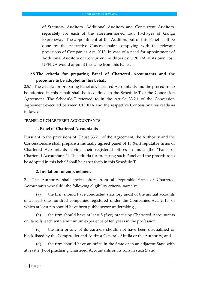of Statutory Auditors, Additional Auditors and Concurrent Auditors, separately for each of the aforementioned four Packages of Ganga Expressway. The appointment of the Auditors out of this Panel shall be done by the respective Concessionaire complying with the relevant provisions of Companies Act, 2013. In case of a need for appointment of Additional Auditors or Concurrent Auditors by UPEIDA at its own cost, UPEIDA would appoint the same from this Panel.

# **2.5 The criteria for preparing Panel of Chartered Accountants and the procedure to be adopted in this behalf**

2.5.1 The criteria for preparing Panel of Chartered Accountants and the procedure to be adopted in this behalf shall be as defined in the Schedule-T of the Concession Agreement. The Schedule-T referred to in the Article 33.2.1 of the Concession Agreement executed between UPEIDA and the respective Concessionaires reads as follows:-

#### **"PANEL OF CHARTERED ACCOUNTANTS**

#### 1. **Panel of Chartered Accountants**

Pursuant to the provisions of Clause 33.2.1 of the Agreement, the Authority and the Concessionaire shall prepare a mutually agreed panel of 10 (ten) reputable firms of Chartered Accountants having their registered offices in India (the "Panel of Chartered Accountants"). The criteria for preparing such Panel and the procedure to be adopted in this behalf shall be as set forth in this Schedule-T.

#### 2. **Invitation for empanelment**

2.1 The Authority shall invite offers from all reputable firms of Chartered Accountants who fulfil the following eligibility criteria, namely:

(a) the firm should have conducted statutory audit of the annual accounts of at least one hundred companies registered under the Companies Act, 2013, of which at least ten should have been public sector undertakings;

(b) the firm should have at least 5 (five) practising Chartered Accountants on its rolls, each with a minimum experience of ten years in the profession;

(c) the firm or any of its partners should not have been disqualified or black-listed by the Comptroller and Auditor General of India or the Authority; and

(d) the firm should have an office in the State or in an adjacent State with at least 2 (two) practising Chartered Accountants on its rolls in such State.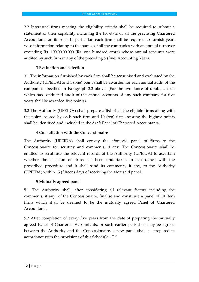2.2 Interested firms meeting the eligibility criteria shall be required to submit a statement of their capability including the bio-data of all the practising Chartered Accountants on its rolls. In particular, each firm shall be required to furnish yearwise information relating to the names of all the companies with an annual turnover exceeding Rs. 100,00,00,000 (Rs. one hundred crore) whose annual accounts were audited by such firm in any of the preceding 5 (five) Accounting Years.

#### 3 **Evaluation and selection**

3.1 The information furnished by each firm shall be scrutinised and evaluated by the Authority (UPEIDA) and 1 (one) point shall be awarded for each annual audit of the companies specified in Paragraph 2.2 above. (For the avoidance of doubt, a firm which has conducted audit of the annual accounts of any such company for five years shall be awarded five points).

3.2 The Authority (UPEIDA) shall prepare a list of all the eligible firms along with the points scored by each such firm and 10 (ten) firms scoring the highest points shall be identified and included in the draft Panel of Chartered Accountants.

#### 4 **Consultation with the Concessionaire**

The Authority (UPEIDA) shall convey the aforesaid panel of firms to the Concessionaire for scrutiny and comments, if any. The Concessionaire shall be entitled to scrutinise the relevant records of the Authority (UPEIDA) to ascertain whether the selection of firms has been undertaken in accordance with the prescribed procedure and it shall send its comments, if any, to the Authority (UPEIDA) within 15 (fifteen) days of receiving the aforesaid panel.

#### 5 **Mutually agreed panel**

5.1 The Authority shall, after considering all relevant factors including the comments, if any, of the Concessionaire, finalise and constitute a panel of 10 (ten) firms which shall be deemed to be the mutually agreed Panel of Chartered Accountants.

5.2 After completion of every five years from the date of preparing the mutually agreed Panel of Chartered Accountants, or such earlier period as may be agreed between the Authority and the Concessionaire, a new panel shall be prepared in accordance with the provisions of this Schedule - T."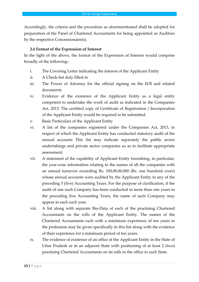Accordingly, the criteria and the procedure as aforementioned shall be adopted for preparation of the Panel of Chartered Accountants for being appointed as Auditors by the respective Concessionaire(s).

#### **2.6 Format of the Expression of Interest**

In the light of the above, the format of the Expression of Interest would comprise broadly of the following:-

- i. The Covering Letter indicating the interest of the Applicant Entity
- ii. A Check-list duly filled in
- iii. The Power of Attorney for the official signing on the EOI and related documents
- iv. Evidence of the existence of the Applicant Entity as a legal entity competent to undertake the work of audit as indicated in the Companies Act, 2013. The certified copy of Certificate of Registration / Incorporation of the Applicant Entity would be required to be submitted.
- v. Basic Particulars of the Applicant Entity
- vi. A list of the companies registered under the Companies Act, 2013, in respect of which the Applicant Entity has conducted statutory audit of the annual accounts This list may indicate separately the public sector undertakings and private sector companies so as to facilitate appropriate assessment;
- vii. A statement of the capability of Applicant Entity furnishing, in particular, the year-wise information relating to the names of all the companies with an annual turnover exceeding Rs. 100,00,00,000 (Rs. one hundred crore) whose annual accounts were audited by the Applicant Entity in any of the preceding 5 (five) Accounting Years. For the purpose of clarification, if the audit of one such Company has been conducted in more than one years in the preceding five Accounting Years, the name of such Company may appear in each such year.
- viii. A list along with separate Bio-Data of each of the practising Chartered Accountants on the rolls of the Applicant Entity. The names of the Chartered Accountants each with a minimum experience of ten years in the profession may be given specifically in this list along with the evidence of their experience for a minimum period of ten years.
- ix. The evidence of existence of an office of the Applicant Entity in the State of Uttar Pradesh or in an adjacent State with positioning of at least 2 (two) practising Chartered Accountants on its rolls in the office in such State.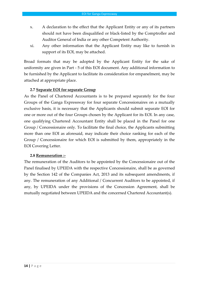- x. A declaration to the effect that the Applicant Entity or any of its partners should not have been disqualified or black-listed by the Comptroller and Auditor General of India or any other Competent Authority.
- xi. Any other information that the Applicant Entity may like to furnish in support of its EOI, may be attached.

Broad formats that may be adopted by the Applicant Entity for the sake of uniformity are given in Part - 5 of this EOI document. Any additional information to be furnished by the Applicant to facilitate its consideration for empanelment, may be attached at appropriate place.

#### **2.7 Separate EOI for separate Group**

As the Panel of Chartered Accountants is to be prepared separately for the four Groups of the Ganga Expressway for four separate Concessionaires on a mutually exclusive basis, it is necessary that the Applicants should submit separate EOI for one or more out of the four Groups chosen by the Applicant for its EOI. In any case, one qualifying Chartered Accountant Entity shall be placed in the Panel for one Group / Concessionaire only. To facilitate the final choice, the Applicants submitting more than one EOI as aforesaid, may indicate their choice ranking for each of the Group / Concessionaire for which EOI is submitted by them, appropriately in the EOI Covering Letter.

#### **2.8 Remuneration :-**

The remuneration of the Auditors to be appointed by the Concessionaire out of the Panel finalised by UPEIDA with the respective Concessionaire, shall be as governed by the Section 142 of the Companies Act, 2013 and its subsequent amendments, if any. The remuneration of any Additional / Concurrent Auditors to be appointed, if any, by UPEIDA under the provisions of the Concession Agreement, shall be mutually negotiated between UPEIDA and the concerned Chartered Accountant(s).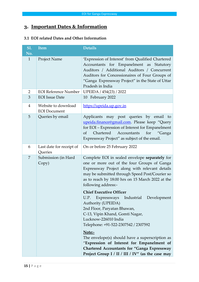# <span id="page-15-0"></span>**3. Important Dates & Information**

#### **3.1 EOI related Dates and Other Information**

| <b>Item</b>                                | <b>Details</b>                                                                                                                                                                                                                                                                                                                                                                                                                                                                                                                                                                                                                                                                                                                                   |
|--------------------------------------------|--------------------------------------------------------------------------------------------------------------------------------------------------------------------------------------------------------------------------------------------------------------------------------------------------------------------------------------------------------------------------------------------------------------------------------------------------------------------------------------------------------------------------------------------------------------------------------------------------------------------------------------------------------------------------------------------------------------------------------------------------|
| Project Name                               | 'Expression of Interest' from Qualified Chartered<br>Accountants for Empanelment as Statutory<br>Auditors / Additional Auditors / Concurrent<br>Auditors for Concessionaires of Four Groups of<br>"Ganga Expressway Project" in the State of Uttar<br>Pradesh in India                                                                                                                                                                                                                                                                                                                                                                                                                                                                           |
| <b>EOI</b> Reference Number                | UPEIDA / 454(23) / 2022                                                                                                                                                                                                                                                                                                                                                                                                                                                                                                                                                                                                                                                                                                                          |
| <b>EOI</b> Issue Date                      | 10 February 2022                                                                                                                                                                                                                                                                                                                                                                                                                                                                                                                                                                                                                                                                                                                                 |
| Website to download<br><b>EOI</b> Document | https://upeida.up.gov.in                                                                                                                                                                                                                                                                                                                                                                                                                                                                                                                                                                                                                                                                                                                         |
| Queries by email                           | Applicants may post queries by email<br>to<br>upeida.finance@gmail.com. Please keep "Query<br>for EOI - Expression of Interest for Empanelment<br>Chartered<br>Accountants<br>for<br><sub>Of</sub><br>"Ganga<br>Expressway Project" as subject of the email.                                                                                                                                                                                                                                                                                                                                                                                                                                                                                     |
| Last date for receipt of<br>Queries        | On or before 25 February 2022                                                                                                                                                                                                                                                                                                                                                                                                                                                                                                                                                                                                                                                                                                                    |
| Submission (in Hard<br>Copy)               | Complete EOI in sealed envelope separately for<br>one or more out of the four Groups of Ganga<br>Expressway Project along with relevant details<br>may be submitted through Speed Post/Courier so<br>as to reach by 18:00 hrs on 15 March 2022 at the<br>following address:-<br><b>Chief Executive Officer</b><br>Expressways<br>Industrial<br>Development<br>U.P.<br>Authority (UPEIDA)<br>2nd Floor, Paryatan Bhawan,<br>C-13, Vipin Khand, Gomti Nagar,<br>Lucknow-226010 India<br>Telephone: +91-522-2307542 / 2307592<br>Note:-<br>The envelope(s) should have a superscription as<br>"Expression of Interest for Empanelment of<br><b>Chartered Accountants for "Ganga Expressway</b><br>Project Group I / II / III / IV" (as the case may |
|                                            |                                                                                                                                                                                                                                                                                                                                                                                                                                                                                                                                                                                                                                                                                                                                                  |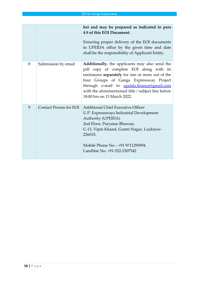|   |                               | be) and may be prepared as indicated in para<br>4.9 of this EOI Document.<br>Ensuring proper delivery of the EOI documents<br>in UPEIDA office by the given time and date<br>shall be the responsibility of Applicant Entity.                                                                                                |
|---|-------------------------------|------------------------------------------------------------------------------------------------------------------------------------------------------------------------------------------------------------------------------------------------------------------------------------------------------------------------------|
| 8 | Submission by email           | Additionally, the applicants may also send the<br>pdf copy of complete EOI along with its<br>enclosures separately for one or more out of the<br>four Groups of Ganga Expressway Project<br>through e-mail to upeida.finance@gmail.com<br>with the aforementioned title / subject line before<br>18:00 hrs on 15 March 2022. |
| 9 | <b>Contact Person for EOI</b> | <b>Additional Chief Executive Officer</b><br>U.P. Expressways Industrial Development<br>Authority (UPEIDA)<br>2nd Floor, Paryatan Bhawan,<br>C-13, Vipin Khand, Gomti Nagar, Lucknow-<br>226010.<br>Mobile Phone No.: +91 9711295994<br>Landline No. +91-522-2307542                                                         |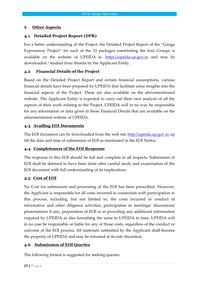#### **4. Other Aspects**

#### <span id="page-17-0"></span>**4.1 Detailed Project Report (DPR)**

For a better understanding of the Project, the Detailed Project Report of the "Ganga Expressway Project" for each of the 12 packages constituting the four Groups is available on the website of UPEIDA ie. [https://upeida.up.gov.in](http://www.upeida.up.gov.in/) and may be downloaded / studied from therein by the Applicant Entity.

#### **4.2 Financial Details of the Project**

Based on the Detailed Project Report and certain financial assumptions, various financial details have been prepared by UPEIDA that facilitate some insights into the financial aspects of the Project. These are also available on the abovementioned website. The Applicant Entity is expected to carry out their own analysis of all the aspects of their work relating to the Project. UPEIDA will in no way be responsible for any information or data given in these Financial Details that are available on the aforementioned website of UPEIDA.

#### **4.3 Availing EOI Documents**

The EOI document can be downloaded from the web site [http://upeida.up.gov.in](http://upeida.up.gov.in/) up till the date and time of submission of EOI as mentioned in the EOI Notice.

#### <span id="page-17-1"></span>**4.4 Completeness of the EOI Response**

The response to this EOI should be full and complete in all respects. Submission of EOI shall be deemed to have been done after careful study and examination of the EOI document with full understanding of its implications.

#### **4.5 Cost of EOI**

No Cost for submission and processing of the EOI has been prescribed. However, the Applicant is responsible for all costs incurred in connection with participation in this process, including, but not limited to, the costs incurred in conduct of informative and other diligence activities, participation in meetings/ discussions/ presentations if any, preparation of EOI or in providing any additional information required by UPEIDA as also furnishing the same to UPEIDA in time. UPEIDA will in no case be responsible or liable for any of those costs, regardless of the conduct or outcome of the EOI process. All materials submitted by the Applicant shall become the property of UPEIDA and may be returned at its sole discretion.

#### <span id="page-17-2"></span>**4.6 Submission of EOI Queries**

The following format is suggested for seeking queries: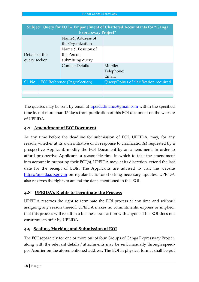|                | Subject: Query for EOI - Empanelment of Chartered Accountants for "Ganga |                            |                                        |  |
|----------------|--------------------------------------------------------------------------|----------------------------|----------------------------------------|--|
|                |                                                                          | <b>Expressway Project"</b> |                                        |  |
|                |                                                                          | Name& Address of           |                                        |  |
|                |                                                                          | the Organization           |                                        |  |
|                |                                                                          | Name & Position of         |                                        |  |
| Details of the |                                                                          | the Person                 |                                        |  |
| query seeker   |                                                                          | submitting query           |                                        |  |
|                |                                                                          | <b>Contact Details</b>     | Mobile:                                |  |
|                |                                                                          |                            | Telephone:                             |  |
|                |                                                                          |                            | Email:                                 |  |
| <b>Sl. No.</b> | <b>EOI</b> Reference (Page/Section)                                      |                            | Query/Points of clarification required |  |
|                |                                                                          |                            |                                        |  |
|                |                                                                          |                            |                                        |  |
|                |                                                                          |                            |                                        |  |

The queries may be sent by email at <u>upeida.finance@gmail.com</u> within the specified time ie. not more than 15 days from publication of this EOI document on the website of UPEIDA.

## **4.7 Amendment of EOI Document**

At any time before the deadline for submission of EOI, UPEIDA, may, for any reason, whether at its own initiative or in response to clarification(s) requested by a prospective Applicant, modify the EOI Document by an amendment. In order to afford prospective Applicants a reasonable time in which to take the amendment into account in preparing their EOI(s), UPEIDA may, at its discretion, extend the last date for the receipt of EOIs. The Applicants are advised to visit the website [https://upeida.up.gov.in](https://upeida.up.gov.in/) on regular basis for checking necessary updates. UPEIDA also reserves the rights to amend the dates mentioned in this EOI.

## **4.8 UPEIDA's Rights to Terminate the Process**

UPEIDA reserves the right to terminate the EOI process at any time and without assigning any reason thereof. UPEIDA makes no commitments, express or implied, that this process will result in a business transaction with anyone. This EOI does not constitute an offer by UPEIDA.

# **4.9 Sealing, Marking and Submission of EOI**

The EOI separately for one or more out of four Groups of Ganga Expressway Project, along with the relevant details / attachments may be sent manually through speedpost/courier on the aforementioned address. The EOI in physical format shall be put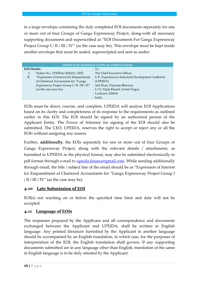in a large envelope containing the duly completed EOI documents separately for one or more out of four Groups of Ganga Expressway Project, along-with all necessary supporting documents and superscribed as "EOI Documents For Ganga Expressway Project Group I / II / III / IV" (as the case may be). This envelope must be kept inside another envelope that must be sealed, superscripted and sent as under:

| Details to be mentioned exactly on sealed envelope |                                             |                                                   |  |
|----------------------------------------------------|---------------------------------------------|---------------------------------------------------|--|
| <b>EOI</b> Details:                                |                                             | To,                                               |  |
| Ī.                                                 | Notice No.: UPEIDA/454(23) / 2022           | The Chief Executive Officer                       |  |
| П.                                                 | "Expression of Interest for Empanelment     | U.P. Expressways Industrial Development Authority |  |
|                                                    | of Chartered Accountants for "Ganga         | (UPEIDA)                                          |  |
|                                                    | Expressway Project Group I / II / III / IV" | 2nd Floor, Paryatan Bhawan,                       |  |
|                                                    | (as the case may be).                       | C-13, Vipin Khand, Gomti Nagar,                   |  |
|                                                    |                                             | Lucknow-226010.                                   |  |
|                                                    |                                             | India                                             |  |

EOIs must be direct, concise, and complete. UPEIDA will analyse EOI Applications based on its clarity and completeness of its response to the requirements as outlined earlier in this EOI. The EOI should be signed by an authorized person of the Applicant Entity. The Power of Attorney for signing of the EOI should also be submitted. The CEO, UPEIDA, reserves the right to accept or reject any or all the EOIs without assigning any reason.

Further, **additionally**, the EOIs separately for one or more out of four Groups of Ganga Expressway Project, along with the relevant details / attachments, as furnished to UPEIDA in the physical format, may also be submitted electronically in pdf format through e-mail to *upeida.finance@gmail.com*. While sending additionally through email, the title / subject line of the email should be as "Expression of Interest for Empanelment of Chartered Accountants for "Ganga Expressway Project Group I  $/$  II  $/$  III  $/$  IV" (as the case may be).

#### **4.10 Late Submission of EOI**

EOI(s) not reaching on or before the specified time limit and date will not be accepted.

#### **4.11 Language of EOIs**

The responses prepared by the Applicant and all correspondence and documents exchanged between the Applicant and UPEIDA, shall be written in English language. Any printed literature furnished by the Applicant in another language should be accompanied by an English translation, in which case, for the purposes of interpretation of the EOI, the English translation shall govern. If any supporting documents submitted are in any language other than English, translation of the same in English language is to be duly attested by the Applicant.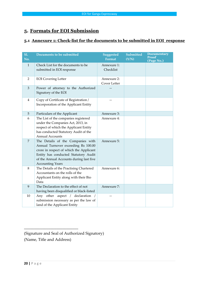# <span id="page-20-1"></span><span id="page-20-0"></span>**5. Formats for EOI Submission**

# **5.1 Annexure 1: Check-list for the documents to be submitted in EOI response**

| <b>S1.</b><br>No. | Documents to be submitted                                                                                                                                                                                                         | Suggested<br><b>Format</b>  | Submitted<br>(Y/N) | <b>Documentary</b><br><b>Proof</b><br>(Page No.) |
|-------------------|-----------------------------------------------------------------------------------------------------------------------------------------------------------------------------------------------------------------------------------|-----------------------------|--------------------|--------------------------------------------------|
| $\mathbf{1}$      | Check List for the documents to be<br>submitted in EOI response                                                                                                                                                                   | Annexure 1:<br>Checklist    |                    |                                                  |
| 2                 | <b>EOI</b> Covering Letter                                                                                                                                                                                                        | Annexure 2:<br>Cover Letter |                    |                                                  |
| $\mathfrak{Z}$    | Power of attorney to the Authorized<br>Signatory of the EOI                                                                                                                                                                       |                             |                    |                                                  |
| $\overline{4}$    | Copy of Certificate of Registration /<br>Incorporation of the Applicant Entity                                                                                                                                                    |                             |                    |                                                  |
| 5                 | Particulars of the Applicant                                                                                                                                                                                                      | Annexure 3:                 |                    |                                                  |
| 6                 | The List of the companies registered<br>under the Companies Act, 2013, in<br>respect of which the Applicant Entity<br>has conducted Statutory Audit of the<br><b>Annual Accounts</b>                                              | Annexure 4:                 |                    |                                                  |
| $\overline{7}$    | The Details of the Companies with<br>Annual Turnover exceeding Rs 100.00<br>crore in respect of which the Applicant<br>Entity has conducted Statutory Audit<br>of the Annual Accounts during last five<br><b>Accounting Years</b> | Annexure 5:                 |                    |                                                  |
| 8                 | The Details of the Practising Chartered<br>Accountants on the rolls of the<br>Applicant Entity along with their Bio<br>Data                                                                                                       | Annexure 6:                 |                    |                                                  |
| 9                 | The Declaration to the effect of not<br>having been disqualified or black-listed                                                                                                                                                  | Annexure 7:                 |                    |                                                  |
| 10                | Any other aspect / declaration /<br>submission necessary as per the law of<br>land of the Applicant Entity                                                                                                                        |                             |                    |                                                  |

(Signature and Seal of Authorized Signatory) (Name, Title and Address)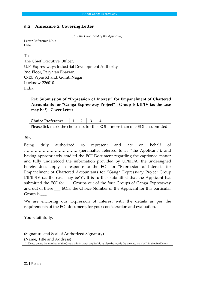#### <span id="page-21-0"></span>**5.2 Annexure 2: Covering Letter**

```
[On the Letter head of the Applicant]
```
Letter Reference No. : Date:

To

The Chief Executive Officer, U.P. Expressways Industrial Development Authority 2nd Floor, Paryatan Bhawan, C-13, Vipin Khand, Gomti Nagar, Lucknow-226010 India.

# Ref: **Submission of "Expression of Interest" for Empanelment of Chartered Accountants for "Ganga Expressway Project" : Group I/II/II/IV (as the case may be\*) : Cover Letter**

**Choice Preference 1 2 3 4** Please tick mark the choice no. for this EOI if more than one EOI is submitted

Sir,

Being duly authorized to represent and act on behalf of …………………………………. (hereinafter referred to as "the Applicant"), and having appropriately studied the EOI Document regarding the captioned matter and fully understood the information provided by UPEIDA, the undersigned hereby does apply in response to the EOI for "Expression of Interest" for Empanelment of Chartered Accountants for "Ganga Expressway Project Group  $I/I/I/I/I/I$  (as the case may be\*)". It is further submitted that the Applicant has submitted the EOI for \_\_\_ Groups out of the four Groups of Ganga Expressway and out of these \_\_\_ EOIs, the Choice Number of the Applicant for this particular Group is \_\_\_\_.

We are enclosing our Expression of Interest with the details as per the requirements of the EOI document, for your consideration and evaluation.

Yours faithfully,

\_\_\_\_\_\_\_\_\_\_\_\_\_\_\_\_\_\_\_\_\_\_\_\_\_\_\_

(Signature and Seal of Authorized Signatory) (Name, Title and Address) \*: Please delete the number of the Group which is not applicable as also the words (as the case may be\*) in the final letter.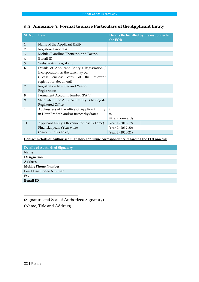# <span id="page-22-0"></span>**5.3 Annexure 3: Format to share Particulars of the Applicant Entity**

| <b>Sl. No.</b> | <b>Item</b>                                                                | Details (to be filled by the responder to<br>the EOI) |
|----------------|----------------------------------------------------------------------------|-------------------------------------------------------|
| $\mathbf{1}$   | Name of the Applicant Entity                                               |                                                       |
| $\overline{2}$ | <b>Registered Address</b>                                                  |                                                       |
| 3              | Mobile / Landline Phone no. and Fax no.                                    |                                                       |
| 4              | E-mail ID                                                                  |                                                       |
| 5              | Website Address, if any                                                    |                                                       |
| 6              | Details of Applicant Entity's Registration /                               |                                                       |
|                | Incorporation, as the case may be.<br>(Please enclose copy of the relevant |                                                       |
|                | registration document)                                                     |                                                       |
| 7              | Registration Number and Year of                                            |                                                       |
|                | Registration                                                               |                                                       |
| 8              | Permanent Account Number (PAN)                                             |                                                       |
| 9              | State where the Applicant Entity is having its                             |                                                       |
|                | Registered Office.                                                         |                                                       |
| 10             | Address(es) of the office of Applicant Entity                              | i.                                                    |
|                | in Uttar Pradesh and/or its nearby States                                  | ii.                                                   |
|                |                                                                            | iii, and onwards                                      |
| 11             | Applicant Entity's Revenue for last 3 (Three)                              | Year 1 (2018-19)                                      |
|                | Financial years (Year wise)                                                | Year 2 (2019-20)                                      |
|                | (Amount in Rs Lakh)                                                        | Year 3 (2020-21)                                      |

**Contact Details of Authorised Signatory for future correspondence regarding the EOI process:**

| <b>Details of Authorised Signatory</b> |  |  |
|----------------------------------------|--|--|
| Name                                   |  |  |
| Designation                            |  |  |
| <b>Address</b>                         |  |  |
| <b>Mobile Phone Number</b>             |  |  |
| <b>Land Line Phone Number</b>          |  |  |
| Fax                                    |  |  |
| E-mail ID                              |  |  |

(Signature and Seal of Authorized Signatory)

(Name, Title and Address)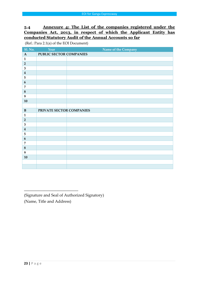# <span id="page-23-1"></span><span id="page-23-0"></span>**5.4 Annexure 4: The List of the companies registered under the Companies Act, 2013, in respect of which the Applicant Entity has conducted Statutory Audit of the Annual Accounts so far**

(Ref.: Para 2.1(a) of the EOI Document)

| <b>Sl. No.</b>          | Year                     | Name of the Company |  |  |
|-------------------------|--------------------------|---------------------|--|--|
| $\mathbf A$             | PUBLIC SECTOR COMPANIES  |                     |  |  |
| $\mathbf{1}$            |                          |                     |  |  |
| $\sqrt{2}$              |                          |                     |  |  |
| $\overline{\mathbf{3}}$ |                          |                     |  |  |
| $\overline{\mathbf{4}}$ |                          |                     |  |  |
| 5                       |                          |                     |  |  |
| $6\phantom{1}6$         |                          |                     |  |  |
| $\overline{7}$          |                          |                     |  |  |
| 8                       |                          |                     |  |  |
| $\boldsymbol{9}$        |                          |                     |  |  |
| 10                      |                          |                     |  |  |
|                         |                          |                     |  |  |
| $\bf{B}$                | PRIVATE SECTOR COMPANIES |                     |  |  |
| $\mathbf{1}$            |                          |                     |  |  |
| $\overline{2}$          |                          |                     |  |  |
| $\overline{\mathbf{3}}$ |                          |                     |  |  |
| $\overline{\mathbf{4}}$ |                          |                     |  |  |
| 5                       |                          |                     |  |  |
| $\boldsymbol{6}$        |                          |                     |  |  |
| $\overline{7}$          |                          |                     |  |  |
| $\bf 8$                 |                          |                     |  |  |
| $\boldsymbol{9}$        |                          |                     |  |  |
| ${\bf 10}$              |                          |                     |  |  |
|                         |                          |                     |  |  |
|                         |                          |                     |  |  |

(Signature and Seal of Authorized Signatory) (Name, Title and Address)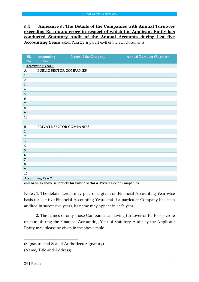# **5.5 Annexure 5: The Details of the Companies with Annual Turnover exceeding Rs 100.00 crore in respect of which the Applicant Entity has conducted Statutory Audit of the Annual Accounts during last five Accounting Years** (Ref.: Para 2.2 & para 2.6.vii of the EOI Document)

| <b>S1.</b>                                                                 | Accounting               | <b>Example 1 Name of the Company</b> | <b>Annual Turnover (Rs crore)</b> |  |  |  |
|----------------------------------------------------------------------------|--------------------------|--------------------------------------|-----------------------------------|--|--|--|
| No.                                                                        | Year                     |                                      |                                   |  |  |  |
| <b>Accounting Year 1</b>                                                   |                          |                                      |                                   |  |  |  |
| $\mathbf{A}$                                                               |                          | PUBLIC SECTOR COMPANIES              |                                   |  |  |  |
| $\mathbf{1}$                                                               |                          |                                      |                                   |  |  |  |
| $\mathbf 2$                                                                |                          |                                      |                                   |  |  |  |
| $\mathbf{3}$                                                               |                          |                                      |                                   |  |  |  |
| $\overline{\mathbf{4}}$                                                    |                          |                                      |                                   |  |  |  |
| 5                                                                          |                          |                                      |                                   |  |  |  |
| 6                                                                          |                          |                                      |                                   |  |  |  |
| $\overline{7}$                                                             |                          |                                      |                                   |  |  |  |
| $\bf 8$                                                                    |                          |                                      |                                   |  |  |  |
| $\boldsymbol{9}$                                                           |                          |                                      |                                   |  |  |  |
| 10                                                                         |                          |                                      |                                   |  |  |  |
|                                                                            |                          |                                      |                                   |  |  |  |
| $\bf{B}$                                                                   | PRIVATE SECTOR COMPANIES |                                      |                                   |  |  |  |
| $\mathbf{1}$                                                               |                          |                                      |                                   |  |  |  |
| $\mathbf{2}$                                                               |                          |                                      |                                   |  |  |  |
| $\overline{\mathbf{3}}$                                                    |                          |                                      |                                   |  |  |  |
| $\overline{\mathbf{4}}$                                                    |                          |                                      |                                   |  |  |  |
| 5                                                                          |                          |                                      |                                   |  |  |  |
| 6                                                                          |                          |                                      |                                   |  |  |  |
| $\overline{7}$                                                             |                          |                                      |                                   |  |  |  |
| 8                                                                          |                          |                                      |                                   |  |  |  |
| 9                                                                          |                          |                                      |                                   |  |  |  |
| 10                                                                         |                          |                                      |                                   |  |  |  |
|                                                                            | <b>Accounting Year 2</b> |                                      |                                   |  |  |  |
| and so on as above separately for Public Sector & Private Sector Companies |                          |                                      |                                   |  |  |  |

Note : 1. The details herein may please be given on Financial Accounting Year-wise basis for last five Financial Accounting Years and if a particular Company has been audited in successive years, its name may appear in each year.

2. The names of only those Companies as having turnover of Rs 100.00 crore or more during the Financial Accounting Year of Statutory Audit by the Applicant Entity may please be given in the above table.

<sup>(</sup>Signature and Seal of Authorized Signatory)

<sup>(</sup>Name, Title and Address)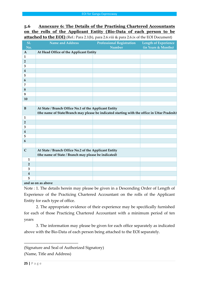# **5.6 Annexure 6: The Details of the Practising Chartered Accountants on the rolls of the Applicant Entity (Bio-Data of each person to be attached to the EOI)** (Ref.: Para 2.1(b), para 2.6.viii & para 2.6.ix of the EOI Document)

| <b>S1.</b>              | <b>Name and Address</b>                                                                      | <b>Professional Registration</b> | <b>Length of Experience</b> |  |  |  |
|-------------------------|----------------------------------------------------------------------------------------------|----------------------------------|-----------------------------|--|--|--|
| No.                     |                                                                                              | <b>Number</b>                    | (in Years & Months)         |  |  |  |
| $\mathbf{A}$            | At Head Office of the Applicant Entity                                                       |                                  |                             |  |  |  |
| $\mathbf{1}$            |                                                                                              |                                  |                             |  |  |  |
| $\overline{2}$          |                                                                                              |                                  |                             |  |  |  |
| 3                       |                                                                                              |                                  |                             |  |  |  |
| $\overline{4}$          |                                                                                              |                                  |                             |  |  |  |
| 5                       |                                                                                              |                                  |                             |  |  |  |
| 6                       |                                                                                              |                                  |                             |  |  |  |
| 7                       |                                                                                              |                                  |                             |  |  |  |
| 8                       |                                                                                              |                                  |                             |  |  |  |
| 9                       |                                                                                              |                                  |                             |  |  |  |
| 10                      |                                                                                              |                                  |                             |  |  |  |
|                         |                                                                                              |                                  |                             |  |  |  |
| $\bf{B}$                | At State / Branch Office No.1 of the Applicant Entity                                        |                                  |                             |  |  |  |
|                         | (the name of State/Branch may please be indicated starting with the office in Uttar Pradesh) |                                  |                             |  |  |  |
| $\mathbf{1}$            |                                                                                              |                                  |                             |  |  |  |
| $\overline{2}$          |                                                                                              |                                  |                             |  |  |  |
| 3                       |                                                                                              |                                  |                             |  |  |  |
| $\overline{\mathbf{4}}$ |                                                                                              |                                  |                             |  |  |  |
| 5                       |                                                                                              |                                  |                             |  |  |  |
| $\boldsymbol{6}$        |                                                                                              |                                  |                             |  |  |  |
|                         |                                                                                              |                                  |                             |  |  |  |
| $\mathbf C$             | At State / Branch Office No.2 of the Applicant Entity                                        |                                  |                             |  |  |  |
|                         | (the name of State / Branch may please be indicated)                                         |                                  |                             |  |  |  |
| $\mathbf{1}$            |                                                                                              |                                  |                             |  |  |  |
| $\overline{2}$          |                                                                                              |                                  |                             |  |  |  |
| 3                       |                                                                                              |                                  |                             |  |  |  |
| $\boldsymbol{4}$        |                                                                                              |                                  |                             |  |  |  |
| 5                       |                                                                                              |                                  |                             |  |  |  |
|                         | and so on as above                                                                           |                                  |                             |  |  |  |

Note : 1. The details herein may please be given in a Descending Order of Length of Experience of the Practicing Chartered Accountant on the rolls of the Applicant Entity for each type of office.

2. The appropriate evidence of their experience may be specifically furnished for each of those Practicing Chartered Accountant with a minimum period of ten years

3. The information may please be given for each office separately as indicated above with the Bio-Data of each person being attached to the EOI separately.

<sup>(</sup>Signature and Seal of Authorized Signatory)

<sup>(</sup>Name, Title and Address)